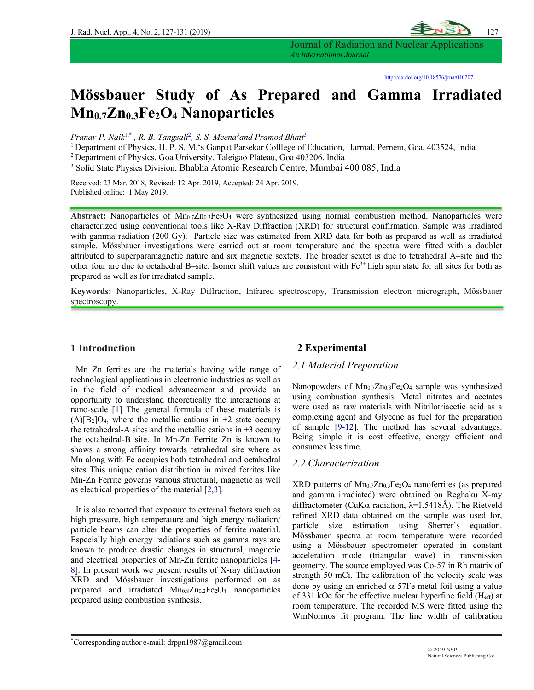

Journal of Radiation and Nuclear Applications *An International Journal*

# **Mössbauer Study of As Prepared and Gamma Irradiated Mn0.7Zn0.3Fe2O4 Nanoparticles**

*Pranav P. Naik*1,\* *, R. B. Tangsali*<sup>2</sup> *, S. S. Meena*<sup>3</sup> *and Pramod Bhatt*<sup>3</sup>

1 Department of Physics, H. P. S. M.'s Ganpat Parsekar Colllege of Education, Harmal, Pernem, Goa, 403524, India

2 Department of Physics, Goa University, Taleigao Plateau, Goa 403206, India

<sup>3</sup> Solid State Physics Division, Bhabha Atomic Research Centre, Mumbai 400 085, India

Received: 23 Mar. 2018, Revised: 12 Apr. 2019, Accepted: 24 Apr. 2019. Published online: 1 May 2019.

Abstract: Nanoparticles of Mn<sub>0.7</sub>Zn<sub>0.3</sub>Fe<sub>2</sub>O<sub>4</sub> were synthesized using normal combustion method. Nanoparticles were characterized using conventional tools like X-Ray Diffraction (XRD) for structural confirmation. Sample was irradiated with gamma radiation (200 Gy). Particle size was estimated from XRD data for both as prepared as well as irradiated sample. Mössbauer investigations were carried out at room temperature and the spectra were fitted with a doublet attributed to superparamagnetic nature and six magnetic sextets. The broader sextet is due to tetrahedral A–site and the other four are due to octahedral B–site. Isomer shift values are consistent with  $Fe<sup>3+</sup>$  high spin state for all sites for both as prepared as well as for irradiated sample.

**Keywords:** Nanoparticles, X-Ray Diffraction, Infrared spectroscopy, Transmission electron micrograph, Mössbauer spectroscopy.

### **1 Introduction**

Mn–Zn ferrites are the materials having wide range of technological applications in electronic industries as well as in the field of medical advancement and provide an opportunity to understand theoretically the interactions at nano-scale [1] The general formula of these materials is  $(A)[B_2]O_4$ , where the metallic cations in +2 state occupy the tetrahedral-A sites and the metallic cations in  $+3$  occupy the octahedral-B site. In Mn-Zn Ferrite Zn is known to shows a strong affinity towards tetrahedral site where as Mn along with Fe occupies both tetrahedral and octahedral sites This unique cation distribution in mixed ferrites like Mn-Zn Ferrite governs various structural, magnetic as well as electrical properties of the material [2,3].

It is also reported that exposure to external factors such as high pressure, high temperature and high energy radiation/ particle beams can alter the properties of ferrite material. Especially high energy radiations such as gamma rays are known to produce drastic changes in structural, magnetic and electrical properties of Mn-Zn ferrite nanoparticles [4- 8]. In present work we present results of X-ray diffraction XRD and Mössbauer investigations performed on as prepared and irradiated  $Mn_{0.8}Zn_{0.2}Fe<sub>2</sub>O<sub>4</sub>$  nanoparticles prepared using combustion synthesis.

# **2 Experimental**

#### *2.1 Material Preparation*

Nanopowders of Mn<sub>0.7</sub>Zn<sub>0.3</sub>Fe<sub>2</sub>O<sub>4</sub> sample was synthesized using combustion synthesis. Metal nitrates and acetates were used as raw materials with Nitrilotriacetic acid as a complexing agent and Glycene as fuel for the preparation of sample [9-12]. The method has several advantages. Being simple it is cost effective, energy efficient and consumes less time.

#### *2.2 Characterization*

XRD patterns of Mn0.7Zn0.3Fe2O4 nanoferrites (as prepared and gamma irradiated) were obtained on Reghaku X-ray diffractometer (CuK $\alpha$  radiation,  $\lambda$ =1.5418Å). The Rietveld refined XRD data obtained on the sample was used for, particle size estimation using Sherrer's equation. Mössbauer spectra at room temperature were recorded using a Mössbauer spectrometer operated in constant acceleration mode (triangular wave) in transmission geometry. The source employed was Co-57 in Rh matrix of strength 50 mCi. The calibration of the velocity scale was done by using an enriched  $\alpha$ -57Fe metal foil using a value of 331 kOe for the effective nuclear hyperfine field (Heff) at room temperature. The recorded MS were fitted using the WinNormos fit program. The line width of calibration

\*Corresponding author e-mail: drppn1987@gmail.com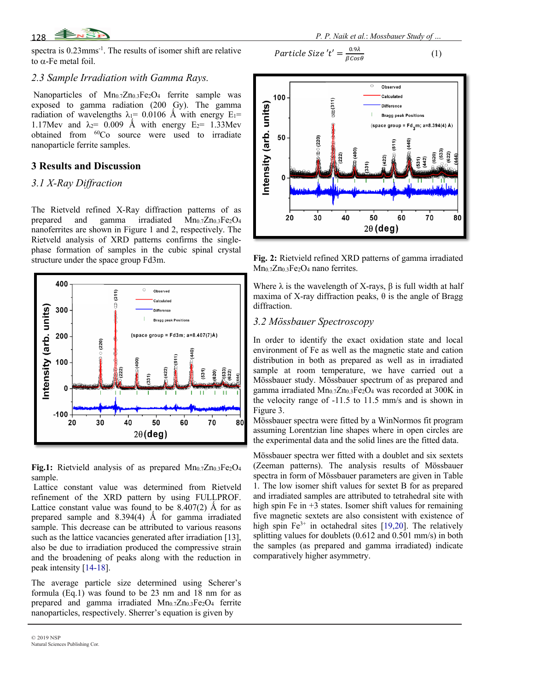

spectra is 0.23mms-1 . The results of isomer shift are relative to  $\alpha$ -Fe metal foil.

### *2.3 Sample Irradiation with Gamma Rays.*

Nanoparticles of Mn0.7Zn0.3Fe2O4 ferrite sample was exposed to gamma radiation (200 Gy). The gamma radiation of wavelengths  $\lambda_1$ = 0.0106 Å with energy E<sub>1</sub>= 1.17Mev and  $\lambda_2$ = 0.009 Å with energy E<sub>2</sub>= 1.33Mev obtained from 60Co source were used to irradiate nanoparticle ferrite samples.

# **3 Results and Discussion**

# *3.1 X-Ray Diffraction*

The Rietveld refined X-Ray diffraction patterns of as prepared and gamma irradiated  $Mn_{0.7}Zn_{0.3}Fe<sub>2</sub>O<sub>4</sub>$ nanoferrites are shown in Figure 1 and 2, respectively. The Rietveld analysis of XRD patterns confirms the singlephase formation of samples in the cubic spinal crystal structure under the space group Fd3m.



Fig.1: Rietvield analysis of as prepared Mn<sub>0.7</sub>Zn<sub>0.3</sub>Fe<sub>2</sub>O<sub>4</sub> sample.

Lattice constant value was determined from Rietveld refinement of the XRD pattern by using FULLPROF. Lattice constant value was found to be  $8.407(2)$  Å for as prepared sample and  $8.394(4)$  Å for gamma irradiated sample. This decrease can be attributed to various reasons such as the lattice vacancies generated after irradiation [13], also be due to irradiation produced the compressive strain and the broadening of peaks along with the reduction in peak intensity [14-18].

The average particle size determined using Scherer's formula (Eq.1) was found to be 23 nm and 18 nm for as prepared and gamma irradiated Mn<sub>0.7</sub>Zn<sub>0.3</sub>Fe<sub>2</sub>O<sub>4</sub> ferrite nanoparticles, respectively. Sherrer's equation is given by

 *P. P. Naik et al.*: *Mossbauer Study of …*

$$
Particle Size 't' = \frac{0.9\lambda}{\beta cos \theta} \tag{1}
$$



**Fig. 2:** Rietvield refined XRD patterns of gamma irradiated Mn<sub>0.7</sub>Zn<sub>0.3</sub>Fe<sub>2</sub>O<sub>4</sub> nano ferrites.

Where  $\lambda$  is the wavelength of X-rays,  $\beta$  is full width at half maxima of X-ray diffraction peaks,  $\theta$  is the angle of Bragg diffraction.

## *3.2 Mössbauer Spectroscopy*

In order to identify the exact oxidation state and local environment of Fe as well as the magnetic state and cation distribution in both as prepared as well as in irradiated sample at room temperature, we have carried out a Mössbauer study. Mössbauer spectrum of as prepared and gamma irradiated Mn0.7Zn0.3Fe2O4 was recorded at 300K in the velocity range of -11.5 to 11.5 mm/s and is shown in Figure 3.

Mössbauer spectra were fitted by a WinNormos fit program assuming Lorentzian line shapes where in open circles are the experimental data and the solid lines are the fitted data.

Mössbauer spectra wer fitted with a doublet and six sextets (Zeeman patterns). The analysis results of Mössbauer spectra in form of Mössbauer parameters are given in Table 1. The low isomer shift values for sextet B for as prepared and irradiated samples are attributed to tetrahedral site with high spin Fe in +3 states. Isomer shift values for remaining five magnetic sextets are also consistent with existence of high spin  $Fe^{3+}$  in octahedral sites [19,20]. The relatively splitting values for doublets (0.612 and 0.501 mm/s) in both the samples (as prepared and gamma irradiated) indicate comparatively higher asymmetry.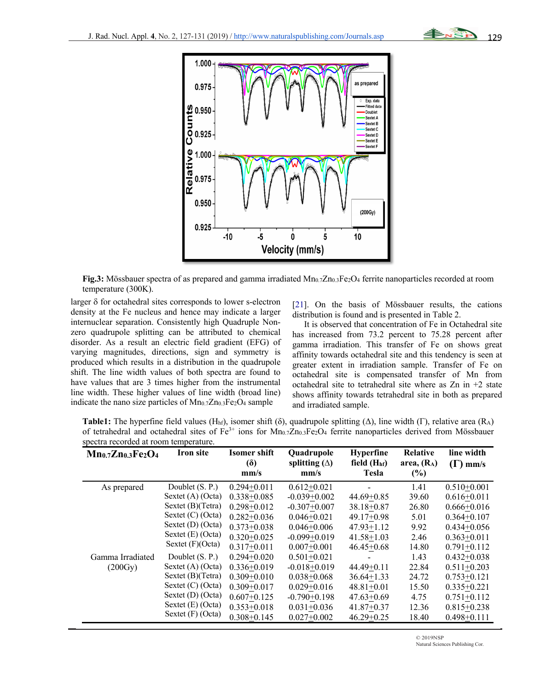



**Fig.3:** Mössbauer spectra of as prepared and gamma irradiated Mn<sub>0.7</sub>Zn<sub>0.3</sub>Fe<sub>2</sub>O<sub>4</sub> ferrite nanoparticles recorded at room temperature (300K).

larger  $\delta$  for octahedral sites corresponds to lower s-electron density at the Fe nucleus and hence may indicate a larger internuclear separation. Consistently high Quadruple Nonzero quadrupole splitting can be attributed to chemical disorder. As a result an electric field gradient (EFG) of varying magnitudes, directions, sign and symmetry is produced which results in a distribution in the quadrupole shift. The line width values of both spectra are found to have values that are 3 times higher from the instrumental line width. These higher values of line width (broad line) indicate the nano size particles of  $Mn_{0.7}Zn_{0.3}Fe<sub>2</sub>O<sub>4</sub>$  sample

[21]. On the basis of Mössbauer results, the cations distribution is found and is presented in Table 2.

It is observed that concentration of Fe in Octahedral site has increased from 73.2 percent to 75.28 percent after gamma irradiation. This transfer of Fe on shows great affinity towards octahedral site and this tendency is seen at greater extent in irradiation sample. Transfer of Fe on octahedral site is compensated transfer of Mn from octahedral site to tetrahedral site where as  $Zn$  in  $+2$  state shows affinity towards tetrahedral site in both as prepared and irradiated sample.

**Table1:** The hyperfine field values (H<sub>hf</sub>), isomer shift (δ), quadrupole splitting ( $\Delta$ ), line width (Γ), relative area (R<sub>A</sub>) of tetrahedral and octahedral sites of Fe<sup>3+</sup> ions for Mn<sub>0.7</sub>Zn<sub>0.3</sub>Fe<sub>2</sub>O<sub>4</sub> ferrite nanoparticles derived from Mössbauer spectra recorded at room temperature.

| $Mn_{0.7}Zn_{0.3}Fe2O4$ | <b>Iron site</b>    |                 | Quadrupole           | <b>Hyperfine</b> | <b>Relative</b> | line width      |
|-------------------------|---------------------|-----------------|----------------------|------------------|-----------------|-----------------|
|                         |                     | $\delta$        | splitting $(\Delta)$ | field $(Hhf)$    | area, $(R_A)$   | $(\Gamma)$ mm/s |
|                         |                     | mm/s            | mm/s                 | Tesla            | (%)             |                 |
| As prepared             | Doublet (S. P.)     | $0.294 + 0.011$ | $0.612 + 0.021$      |                  | 1.41            | $0.510+0.001$   |
|                         | Sextet $(A)$ (Octa) | $0.338 + 0.085$ | $-0.039 + 0.002$     | $44.69 + 0.85$   | 39.60           | $0.616 + 0.011$ |
|                         | Sextet $(B)(Tetra)$ | $0.298 + 0.012$ | $-0.307+0.007$       | 38.18+0.87       | 26.80           | $0.666 + 0.016$ |
|                         | Sextet $(C)$ (Octa) | $0.282 + 0.036$ | $0.046 + 0.021$      | $49.17+0.98$     | 5.01            | $0.364 + 0.107$ |
|                         | Sextet $(D)$ (Octa) | $0.373 + 0.038$ | $0.046 + 0.006$      | $47.93 + 1.12$   | 9.92            | $0.434 + 0.056$ |
|                         | Sextet (E) (Octa)   | $0.320 + 0.025$ | $-0.099 + 0.019$     | $41.58 + 1.03$   | 2.46            | $0.363 + 0.011$ |
|                         | Sextet $(F)(Octa)$  | $0.317+0.011$   | $0.007+0.001$        | $46.45 + 0.68$   | 14.80           | $0.791 + 0.112$ |
| Gamma Irradiated        | Doublet (S. P.)     | $0.294 + 0.020$ | $0.501 + 0.021$      |                  | 1.43            | $0.432 + 0.038$ |
| (200Gy)                 | Sextet (A) (Octa)   | $0.336 + 0.019$ | $-0.018 + 0.019$     | $44.49 + 0.11$   | 22.84           | $0.511 + 0.203$ |
|                         | Sextet $(B)(Tetra)$ | $0.309 + 0.010$ | $0.038 + 0.068$      | $36.64 + 1.33$   | 24.72           | $0.753 + 0.121$ |
|                         | Sextet $(C)$ (Octa) | $0.309 + 0.017$ | $0.029 + 0.016$      | $48.81 + 0.01$   | 15.50           | $0.335 + 0.221$ |
|                         | Sextet (D) (Octa)   | $0.607+0.125$   | $-0.790 + 0.198$     | $47.63 + 0.69$   | 4.75            | $0.751 + 0.112$ |
|                         | Sextet $(E)$ (Octa) | $0.353 + 0.018$ | $0.031 + 0.036$      | $41.87 + 0.37$   | 12.36           | $0.815 + 0.238$ |
|                         | Sextet $(F)$ (Octa) | $0.308 + 0.145$ | $0.027 + 0.002$      | $46.29 + 0.25$   | 18.40           | $0.498 + 0.111$ |

© 2019NSP Natural Sciences Publishing Cor.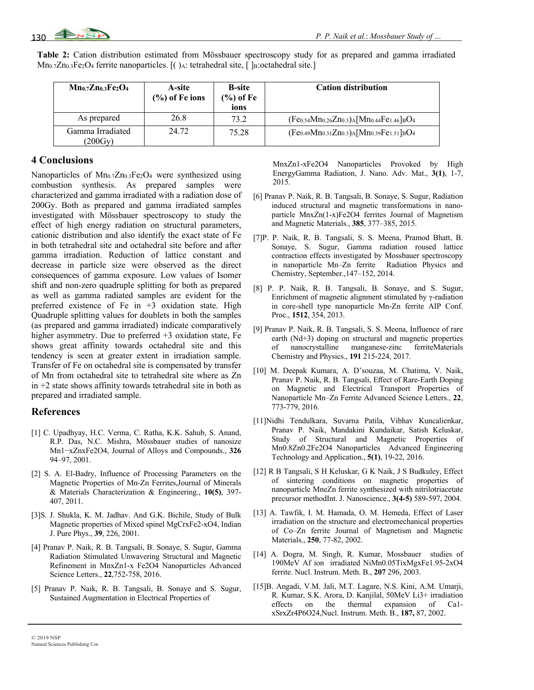|  |  |  | Table 2: Cation distribution estimated from Mössbauer spectroscopy study for as prepared and gamma irradiated |  |  |  |
|--|--|--|---------------------------------------------------------------------------------------------------------------|--|--|--|
|  |  |  | $Mn_{0.7}Zn_{0.3}Fe2O4$ ferrite nanoparticles. [() A: tetrahedral site, [] B: octahedral site.]               |  |  |  |

| $Mn_0.7Zn_0.3Fe2O4$                   | A-site<br>$(\%)$ of Fe ions | <b>B</b> -site<br>(%) of Fe<br>ions | <b>Cation distribution</b>                                   |
|---------------------------------------|-----------------------------|-------------------------------------|--------------------------------------------------------------|
| As prepared                           | 26.8                        | 73.2                                | $(Fe_{0.54}Mn_{0.26}Zn_{0.3})$ A $[Mn_{0.44}Fe_{1.46}]_BO_4$ |
| Gamma Irradiated<br>$(200 \text{Gy})$ | 24.72                       | 75.28                               | $(Fe_{0.49}Mn_{0.31}Zn_{0.3})$ A $[Mn_{0.39}Fe_{1.51}]_BO_4$ |

## **4 Conclusions**

Nanoparticles of Mn<sub>0.7</sub>Zn<sub>0.3</sub>Fe<sub>2</sub>O<sub>4</sub> were synthesized using combustion synthesis. As prepared samples were characterized and gamma irradiated with a radiation dose of 200Gy. Both as prepared and gamma irradiated samples investigated with Mössbauer spectroscopy to study the effect of high energy radiation on structural parameters, cationic distribution and also identify the exact state of Fe in both tetrahedral site and octahedral site before and after gamma irradiation. Reduction of lattice constant and decrease in particle size were observed as the direct consequences of gamma exposure. Low values of Isomer shift and non-zero quadruple splitting for both as prepared as well as gamma radiated samples are evident for the preferred existence of Fe in  $+3$  oxidation state. High Quadruple splitting values for doublets in both the samples (as prepared and gamma irradiated) indicate comparatively higher asymmetry. Due to preferred  $+3$  oxidation state, Fe shows great affinity towards octahedral site and this tendency is seen at greater extent in irradiation sample. Transfer of Fe on octahedral site is compensated by transfer of Mn from octahedral site to tetrahedral site where as Zn  $in +2$  state shows affinity towards tetrahedral site in both as prepared and irradiated sample.

### **References**

- [1] C. Upadhyay, H.C. Verma, C. Ratha, K.K. Sahub, S. Anand, R.P. Das, N.C. Mishra, Mössbauer studies of nanosize Mn1−xZnxFe2O4, Journal of Alloys and Compounds., **326** 94–97, 2001.
- [2] S. A. El-Badry, Influence of Processing Parameters on the Magnetic Properties of Mn-Zn Ferrites,Journal of Minerals & Materials Characterization & Engineering., **10(5)**, 397- 407, 2011.
- [3]S. J. Shukla, K. M. Jadhav. And G.K. Bichile, Study of Bulk Magnetic properties of Mixed spinel MgCrxFe2-xO4, Indian J. Pure Phys., **39**, 226, 2001.
- [4] Pranav P. Naik, R. B. Tangsali, B. Sonaye, S. Sugur, Gamma Radiation Stimulated Unwavering Structural and Magnetic Refinement in MnxZn1-x Fe2O4 Nanoparticles Advanced Science Letters., **22**,752-758, 2016.
- [5] Pranav P. Naik, R. B. Tangsali, B. Sonaye and S. Sugur, Sustained Augmentation in Electrical Properties of

MnxZn1-xFe2O4 Nanoparticles Provoked by High EnergyGamma Radiation, J. Nano. Adv. Mat., **3(1)**, 1-7, 2015.

- [6] Pranav P. Naik, R. B. Tangsali, B. Sonaye, S. Sugur, Radiation induced structural and magnetic transformations in nanoparticle MnxZn(1-x)Fe2O4 ferrites Journal of Magnetism and Magnetic Materials., **385**, 377–385, 2015.
- [7]P. P. Naik, R. B. Tangsali, S. S. Meena, Pramod Bhatt, B. Sonaye, S. Sugur, Gamma radiation roused lattice contraction effects investigated by Mossbauer spectroscopy in nanoparticle Mn–Zn ferrite Radiation Physics and Chemistry, September.,147–152, 2014.
- [8] P. P. Naik, R. B. Tangsali, B. Sonaye, and S. Sugur, Enrichment of magnetic alignment stimulated by γ-radiation in core-shell type nanoparticle Mn-Zn ferrite AIP Conf. Proc., **1512**, 354, 2013.
- [9] Pranav P. Naik, R. B. Tangsali, S. S. Meena, Influence of rare earth (Nd+3) doping on structural and magnetic properties of nanocrystalline manganese-zinc ferriteMaterials Chemistry and Physics., **191** 215-224, 2017.
- [10] M. Deepak Kumara, A. D'souzaa, M. Chatima, V. Naik, Pranav P. Naik, R. B. Tangsali, Effect of Rare-Earth Doping on Magnetic and Electrical Transport Properties of Nanoparticle Mn–Zn Ferrite Advanced Science Letters., **22**, 773-779, 2016.
- [11]Nidhi Tendulkara, Suvarna Patila, Vibhav Kuncalienkar, Pranav P. Naik, Mandakini Kundaikar, Satish Keluskar, Study of Structural and Magnetic Properties of Mn0.8Zn0.2Fe2O4 Nanoparticles Advanced Engineering Technology and Application., **5(1)**, 19-22, 2016.
- [12] R B Tangsali, S H Keluskar, G K Naik, J S Budkuley, Effect of sintering conditions on magnetic properties of nanoparticle MneZn ferrite synthesized with nitrilotriacetate precursor methodInt. J. Nanoscience., **3(4-5)** 589-597, 2004.
- [13] A. Tawfik, I. M. Hamada, O. M. Hemeda, Effect of Laser irradiation on the structure and electromechanical properties of Co–Zn ferrite Journal of Magnetism and Magnetic Materials., **250**, 77-82, 2002.
- [14] A. Dogra, M. Singh, R. Kumar, Mossbauer studies of 190MeV Af ion irradiated NiMn0.05TixMgxFe1.95-2xO4 ferrite. Nucl. Instrum. Meth. B., **207** 296, 2003.
- [15]B. Angadi, V.M. Jali, M.T. Lagare, N.S. Kini, A.M. Umarji, R. Kumar, S.K. Arora, D. Kanjilal, 50MeV Li3+ irradiation effects on the thermal expansion of Ca1 xSrxZr4P6O24,Nucl. Instrum. Meth. B., **187,** 87, 2002.